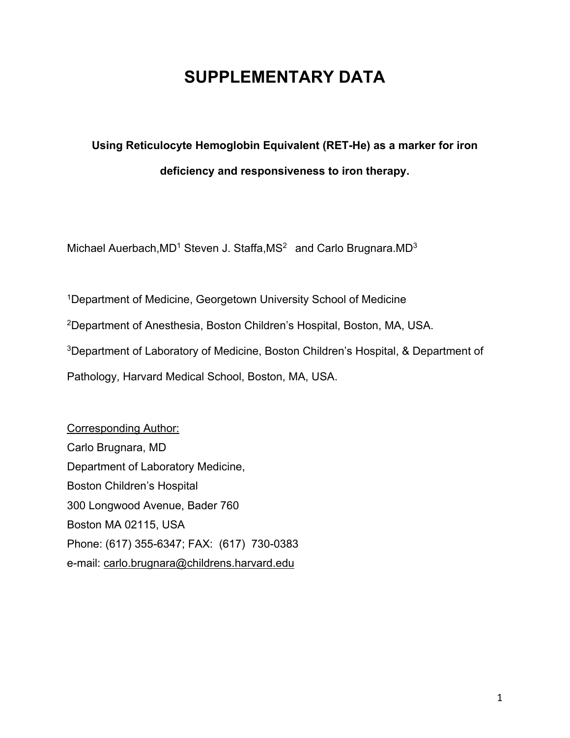# **SUPPLEMENTARY DATA**

# **Using Reticulocyte Hemoglobin Equivalent (RET-He) as a marker for iron deficiency and responsiveness to iron therapy.**

Michael Auerbach, MD<sup>1</sup> Steven J. Staffa, MS<sup>2</sup> and Carlo Brugnara. MD<sup>3</sup>

1Department of Medicine, Georgetown University School of Medicine 2Department of Anesthesia, Boston Children's Hospital, Boston, MA, USA. 3Department of Laboratory of Medicine, Boston Children's Hospital, & Department of Pathology, Harvard Medical School, Boston, MA, USA.

Corresponding Author: Carlo Brugnara, MD Department of Laboratory Medicine, Boston Children's Hospital 300 Longwood Avenue, Bader 760 Boston MA 02115, USA Phone: (617) 355-6347; FAX: (617) 730-0383 e-mail: carlo.brugnara@childrens.harvard.edu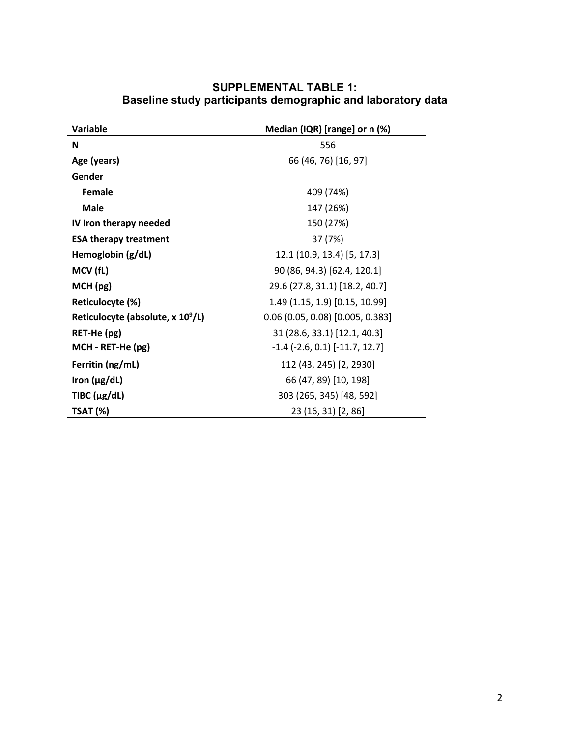| Variable                                      | Median (IQR) [range] or n (%)            |  |  |
|-----------------------------------------------|------------------------------------------|--|--|
| N                                             | 556                                      |  |  |
| Age (years)                                   | 66 (46, 76) [16, 97]                     |  |  |
| Gender                                        |                                          |  |  |
| <b>Female</b>                                 | 409 (74%)                                |  |  |
| <b>Male</b>                                   | 147 (26%)                                |  |  |
| IV Iron therapy needed                        | 150 (27%)                                |  |  |
| <b>ESA therapy treatment</b>                  | 37 (7%)                                  |  |  |
| Hemoglobin (g/dL)                             | 12.1 (10.9, 13.4) [5, 17.3]              |  |  |
| MCV (fL)                                      | 90 (86, 94.3) [62.4, 120.1]              |  |  |
| MCH (pg)                                      | 29.6 (27.8, 31.1) [18.2, 40.7]           |  |  |
| Reticulocyte (%)                              | 1.49 (1.15, 1.9) [0.15, 10.99]           |  |  |
| Reticulocyte (absolute, x 10 <sup>9</sup> /L) | $0.06$ (0.05, 0.08) [0.005, 0.383]       |  |  |
| RET-He (pg)                                   | 31 (28.6, 33.1) [12.1, 40.3]             |  |  |
| MCH - RET-He (pg)                             | $-1.4$ ( $-2.6$ , 0.1) [ $-11.7$ , 12.7] |  |  |
| Ferritin (ng/mL)                              | 112 (43, 245) [2, 2930]                  |  |  |
| Iron $(\mu g/dL)$                             | 66 (47, 89) [10, 198]                    |  |  |
| TIBC $(\mu g/dL)$                             | 303 (265, 345) [48, 592]                 |  |  |
| <b>TSAT (%)</b>                               | 23 (16, 31) [2, 86]                      |  |  |

## **SUPPLEMENTAL TABLE 1: Baseline study participants demographic and laboratory data**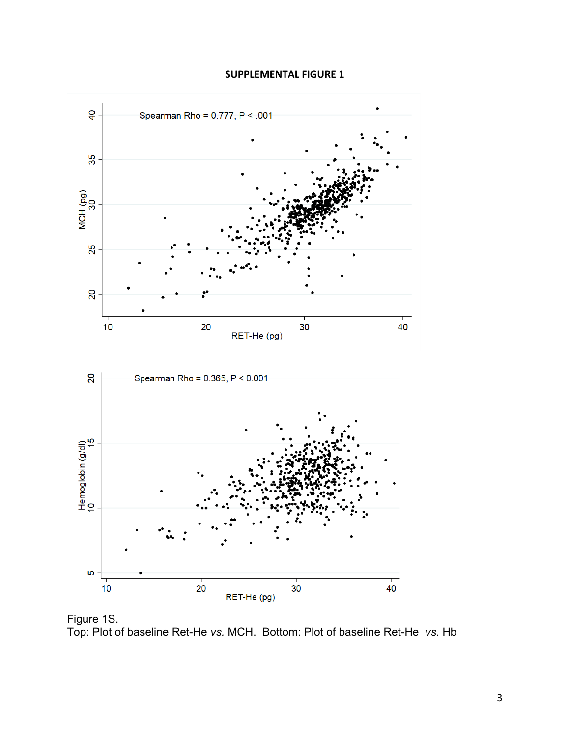#### **SUPPLEMENTAL FIGURE 1**